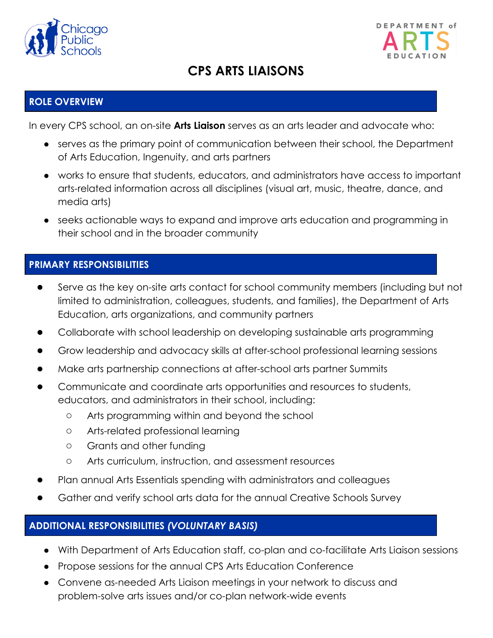



# **CPS ARTS LIAISONS**

## **ROLE OVERVIEW**

In every CPS school, an on-site **Arts Liaison** serves as an arts leader and advocate who:

- serves as the primary point of communication between their school, the Department of Arts Education, Ingenuity, and arts partners
- works to ensure that students, educators, and administrators have access to important arts-related information across all disciplines (visual art, music, theatre, dance, and media arts)
- seeks actionable ways to expand and improve arts education and programming in their school and in the broader community

## **PRIMARY RESPONSIBILITIES**

- Serve as the key on-site arts contact for school community members (including but not limited to administration, colleagues, students, and families), the Department of Arts Education, arts organizations, and community partners
- Collaborate with school leadership on developing sustainable arts programming
- Grow leadership and advocacy skills at after-school professional learning sessions
- Make arts partnership connections at after-school arts partner Summits
- Communicate and coordinate arts opportunities and resources to students, educators, and administrators in their school, including:
	- Arts programming within and beyond the school
	- Arts-related professional learning
	- Grants and other funding
	- Arts curriculum, instruction, and assessment resources
- Plan annual Arts Essentials spending with administrators and colleagues
- Gather and verify school arts data for the annual Creative Schools Survey

#### **ADDITIONAL RESPONSIBILITIES** *(VOLUNTARY BASIS)*

- With Department of Arts Education staff, co-plan and co-facilitate Arts Liaison sessions
- Propose sessions for the annual CPS Arts Education Conference
- Convene as-needed Arts Liaison meetings in your network to discuss and problem-solve arts issues and/or co-plan network-wide events